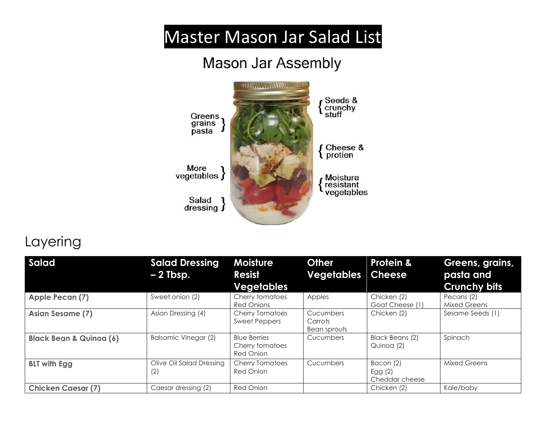## Master Mason Jar Salad List

## **Mason Jar Assembly**



## Layering

| <b>Salad</b>                       | <b>Salad Dressing</b><br>$-2$ Tbsp. | <b>Moisture</b><br><b>Resist</b><br><b>Vegetables</b>      | <b>Other</b><br><b>Vegetables</b>    | <b>Protein &amp;</b><br><b>Cheese</b>    | Greens, grains,<br>pasta and<br><b>Crunchy bits</b> |
|------------------------------------|-------------------------------------|------------------------------------------------------------|--------------------------------------|------------------------------------------|-----------------------------------------------------|
| Apple Pecan (7)                    | Sweet onion (2)                     | Cherry tomatoes<br><b>Red Onions</b>                       | Apples                               | Chicken (2)<br>Goat Cheese (1)           | Pecans (2)<br><b>Mixed Greens</b>                   |
| Asian Sesame (7)                   | Asian Dressing (4)                  | <b>Cherry Tomatoes</b><br><b>Sweet Peppers</b>             | Cucumbers<br>Carrots<br>Bean sprouts | Chicken (2)                              | Sesame Seeds (1)                                    |
| <b>Black Bean &amp; Quinoa (6)</b> | <b>Balsamic Vinegar (2)</b>         | <b>Blue Berries</b><br>Cherry tomatoes<br><b>Red Onion</b> | Cucumbers                            | Black Beans (2)<br>Quinoa (2)            | Spinach                                             |
| <b>BLT with Egg</b>                | Olive Oil Salad Dressing<br>(2)     | <b>Cherry Tomatoes</b><br><b>Red Onion</b>                 | Cucumbers                            | Bacon (2)<br>Egg $(2)$<br>Cheddar cheese | <b>Mixed Greens</b>                                 |
| <b>Chicken Caesar (7)</b>          | Caesar dressing (2)                 | <b>Red Onion</b>                                           |                                      | Chicken (2)                              | Kale/baby                                           |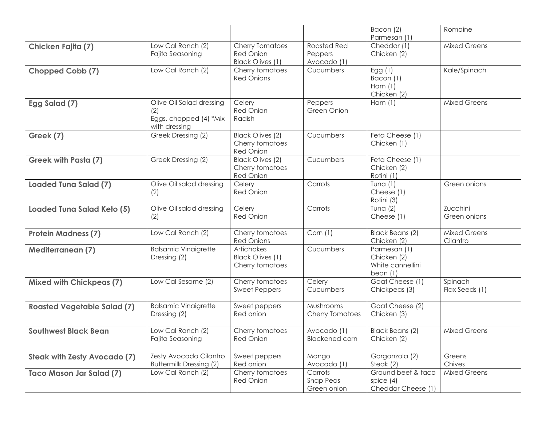|                                     |                                                                            |                                                                       |                                              | Bacon (2)<br>Parmesan (1)                                     | Romaine                         |
|-------------------------------------|----------------------------------------------------------------------------|-----------------------------------------------------------------------|----------------------------------------------|---------------------------------------------------------------|---------------------------------|
| Chicken Fajita (7)                  | Low Cal Ranch (2)<br>Fajita Seasoning                                      | <b>Cherry Tomatoes</b><br><b>Red Onion</b><br><b>Black Olives (1)</b> | <b>Roasted Red</b><br>Peppers<br>Avocado (1) | Cheddar (1)<br>Chicken (2)                                    | <b>Mixed Greens</b>             |
| Chopped Cobb (7)                    | Low Cal Ranch (2)                                                          | Cherry tomatoes<br><b>Red Onions</b>                                  | Cucumbers                                    | Egg $(1)$<br>Bacon (1)<br>Ham $(1)$<br>Chicken (2)            | Kale/Spinach                    |
| Egg Salad (7)                       | Olive Oil Salad dressing<br>(2)<br>Eggs, chopped (4) *Mix<br>with dressing | Celery<br><b>Red Onion</b><br>Radish                                  | Peppers<br>Green Onion                       | Ham (1)                                                       | <b>Mixed Greens</b>             |
| Greek (7)                           | Greek Dressing (2)                                                         | <b>Black Olives (2)</b><br>Cherry tomatoes<br>Red Onion               | Cucumbers                                    | Feta Cheese (1)<br>Chicken (1)                                |                                 |
| <b>Greek with Pasta (7)</b>         | Greek Dressing (2)                                                         | <b>Black Olives (2)</b><br>Cherry tomatoes<br>Red Onion               | Cucumbers                                    | Feta Cheese (1)<br>Chicken (2)<br>Rotini (1)                  |                                 |
| <b>Loaded Tuna Salad (7)</b>        | Olive Oil salad dressing<br>(2)                                            | Celery<br><b>Red Onion</b>                                            | Carrots                                      | Tuna $(1)$<br>Cheese (1)<br>Rotini (3)                        | Green onions                    |
| Loaded Tuna Salad Keto (5)          | Olive Oil salad dressing<br>(2)                                            | Celery<br><b>Red Onion</b>                                            | Carrots                                      | Tuna $(2)$<br>Cheese (1)                                      | Zucchini<br>Green onions        |
| <b>Protein Madness (7)</b>          | Low Cal Ranch (2)                                                          | Cherry tomatoes<br><b>Red Onions</b>                                  | Corn (1)                                     | Black Beans (2)<br>Chicken (2)                                | <b>Mixed Greens</b><br>Cilantro |
| <b>Mediterranean (7)</b>            | <b>Balsamic Vinaigrette</b><br>Dressing (2)                                | Artichokes<br><b>Black Olives (1)</b><br>Cherry tomatoes              | Cucumbers                                    | Parmesan (1)<br>Chicken (2)<br>White cannellini<br>bean $(1)$ |                                 |
| <b>Mixed with Chickpeas (7)</b>     | Low Cal Sesame (2)                                                         | Cherry tomatoes<br><b>Sweet Peppers</b>                               | Celery<br>Cucumbers                          | Goat Cheese (1)<br>Chickpeas (3)                              | Spinach<br>Flax Seeds (1)       |
| <b>Roasted Vegetable Salad (7)</b>  | <b>Balsamic Vinaigrette</b><br>Dressing (2)                                | Sweet peppers<br>Red onion                                            | Mushrooms<br>Cherry Tomatoes                 | Goat Cheese (2)<br>Chicken (3)                                |                                 |
| <b>Southwest Black Bean</b>         | Low Cal Ranch (2)<br>Fajita Seasoning                                      | Cherry tomatoes<br><b>Red Onion</b>                                   | Avocado (1)<br><b>Blackened corn</b>         | <b>Black Beans (2)</b><br>Chicken (2)                         | <b>Mixed Greens</b>             |
| <b>Steak with Zesty Avocado (7)</b> | Zesty Avocado Cilantro<br><b>Buttermilk Dressing (2)</b>                   | Sweet peppers<br>Red onion                                            | Mango<br>Avocado (1)                         | Gorgonzola (2)<br>Steak $(2)$                                 | Greens<br>Chives                |
| <b>Taco Mason Jar Salad (7)</b>     | Low Cal Ranch (2)                                                          | Cherry tomatoes<br>Red Onion                                          | Carrots<br><b>Snap Peas</b><br>Green onion   | Ground beef & taco<br>spice $(4)$<br>Cheddar Cheese (1)       | <b>Mixed Greens</b>             |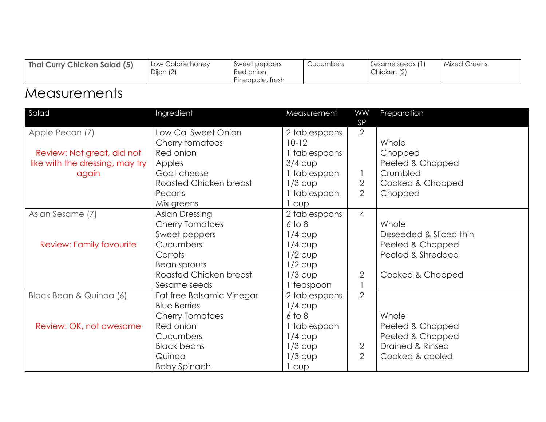| Pineapple, tresh | Thai Curry Chicken Salad (5) | Low Calorie honey<br>Dijon (2) | Sweet peppers<br>Red onion | Cucumbers | Sesame seeds (1)<br>Chicken (2) | Mixed Greens |
|------------------|------------------------------|--------------------------------|----------------------------|-----------|---------------------------------|--------------|
|------------------|------------------------------|--------------------------------|----------------------------|-----------|---------------------------------|--------------|

## **Measurements**

| Salad                           | Ingredient                | Measurement   | WW                          | Preparation            |
|---------------------------------|---------------------------|---------------|-----------------------------|------------------------|
| Apple Pecan (7)                 | Low Cal Sweet Onion       | 2 tablespoons | <b>SP</b><br>$\overline{2}$ |                        |
|                                 | Cherry tomatoes           | $10 - 12$     |                             | Whole                  |
|                                 | Red onion                 |               |                             |                        |
| Review: Not great, did not      |                           | 1 tablespoons |                             | Chopped                |
| like with the dressing, may try | Apples                    | $3/4$ cup     |                             | Peeled & Chopped       |
| again                           | Goat cheese               | 1 tablespoon  | $\mathbf{1}$                | Crumbled               |
|                                 | Roasted Chicken breast    | $1/3$ cup     | $\mathbf{2}$                | Cooked & Chopped       |
|                                 | Pecans                    | 1 tablespoon  | $\overline{2}$              | Chopped                |
|                                 | Mix greens                | 1 cup         |                             |                        |
| Asian Sesame (7)                | Asian Dressing            | 2 tablespoons | $\overline{4}$              |                        |
|                                 | <b>Cherry Tomatoes</b>    | $6$ to $8$    |                             | Whole                  |
|                                 | Sweet peppers             | $1/4$ cup     |                             | Deseeded & Sliced thin |
| Review: Family favourite        | Cucumbers                 | $1/4$ cup     |                             | Peeled & Chopped       |
|                                 | Carrots                   | $1/2$ cup     |                             | Peeled & Shredded      |
|                                 | Bean sprouts              | $1/2$ cup     |                             |                        |
|                                 | Roasted Chicken breast    | $1/3$ cup     | $\overline{2}$              | Cooked & Chopped       |
|                                 | Sesame seeds              | 1 teaspoon    |                             |                        |
| Black Bean & Quinoa (6)         | Fat free Balsamic Vinegar | 2 tablespoons | $\overline{2}$              |                        |
|                                 | <b>Blue Berries</b>       | $1/4$ cup     |                             |                        |
|                                 | <b>Cherry Tomatoes</b>    | $6$ to $8$    |                             | Whole                  |
| Review: OK, not awesome         | Red onion                 | 1 tablespoon  |                             | Peeled & Chopped       |
|                                 | Cucumbers                 | $1/4$ cup     |                             | Peeled & Chopped       |
|                                 | <b>Black beans</b>        | $1/3$ cup     | $\overline{2}$              | Drained & Rinsed       |
|                                 | Quinoa                    | $1/3$ cup     | $\overline{2}$              | Cooked & cooled        |
|                                 | <b>Baby Spinach</b>       | 1 cup         |                             |                        |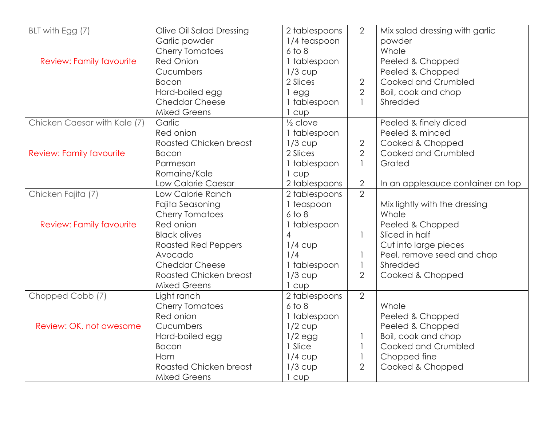| BLT with Egg (7)                | Olive Oil Salad Dressing      | 2 tablespoons       | $\overline{2}$ | Mix salad dressing with garlic    |
|---------------------------------|-------------------------------|---------------------|----------------|-----------------------------------|
|                                 | Garlic powder                 | 1/4 teaspoon        |                | powder                            |
|                                 | <b>Cherry Tomatoes</b>        | $6$ to $8$          |                | Whole                             |
| <b>Review: Family favourite</b> | <b>Red Onion</b>              | 1 tablespoon        |                | Peeled & Chopped                  |
|                                 | Cucumbers                     | $1/3$ cup           |                | Peeled & Chopped                  |
|                                 | <b>Bacon</b>                  | 2 Slices            | $\overline{2}$ | Cooked and Crumbled               |
|                                 | Hard-boiled egg               | egg                 | $\overline{2}$ | Boil, cook and chop               |
|                                 | <b>Cheddar Cheese</b>         | 1 tablespoon        | $\mathbf{1}$   | Shredded                          |
|                                 | <b>Mixed Greens</b>           | cup                 |                |                                   |
| Chicken Caesar with Kale (7)    | Garlic                        | $\frac{1}{2}$ clove |                | Peeled & finely diced             |
|                                 | Red onion                     | 1 tablespoon        |                | Peeled & minced                   |
|                                 | <b>Roasted Chicken breast</b> | $1/3$ cup           | $\overline{2}$ | Cooked & Chopped                  |
| <b>Review: Family favourite</b> | <b>Bacon</b>                  | 2 Slices            | $\overline{2}$ | Cooked and Crumbled               |
|                                 | Parmesan                      | 1 tablespoon        | $\mathbf{1}$   | Grated                            |
|                                 | Romaine/Kale                  | 1 cup               |                |                                   |
|                                 | Low Calorie Caesar            | 2 tablespoons       | $\overline{2}$ | In an applesauce container on top |
| Chicken Fajita (7)              | Low Calorie Ranch             | 2 tablespoons       | $\overline{2}$ |                                   |
|                                 | Fajita Seasoning              | 1 teaspoon          |                | Mix lightly with the dressing     |
|                                 | <b>Cherry Tomatoes</b>        | $6$ to $8$          |                | Whole                             |
| <b>Review: Family favourite</b> | Red onion                     | 1 tablespoon        |                | Peeled & Chopped                  |
|                                 | <b>Black olives</b>           | $\overline{4}$      | 1              | Sliced in half                    |
|                                 | <b>Roasted Red Peppers</b>    | $1/4$ cup           |                | Cut into large pieces             |
|                                 | Avocado                       | 1/4                 | 1              | Peel, remove seed and chop        |
|                                 | <b>Cheddar Cheese</b>         | 1 tablespoon        | $\mathbf{1}$   | Shredded                          |
|                                 | <b>Roasted Chicken breast</b> | $1/3$ cup           | $\overline{2}$ | Cooked & Chopped                  |
|                                 | <b>Mixed Greens</b>           | cup                 |                |                                   |
| Chopped Cobb (7)                | Light ranch                   | 2 tablespoons       | $\overline{2}$ |                                   |
|                                 | <b>Cherry Tomatoes</b>        | $6$ to $8$          |                | Whole                             |
|                                 | Red onion                     | 1 tablespoon        |                | Peeled & Chopped                  |
| Review: OK, not awesome         | Cucumbers                     | $1/2$ cup           |                | Peeled & Chopped                  |
|                                 | Hard-boiled egg               | $1/2$ egg           | $\mathbf{1}$   | Boil, cook and chop               |
|                                 | <b>Bacon</b>                  | 1 Slice             | $\mathbf{1}$   | Cooked and Crumbled               |
|                                 | Ham                           | $1/4$ cup           | $\mathbf{1}$   | Chopped fine                      |
|                                 | <b>Roasted Chicken breast</b> | $1/3$ cup           | $\overline{2}$ | Cooked & Chopped                  |
|                                 | <b>Mixed Greens</b>           | cup                 |                |                                   |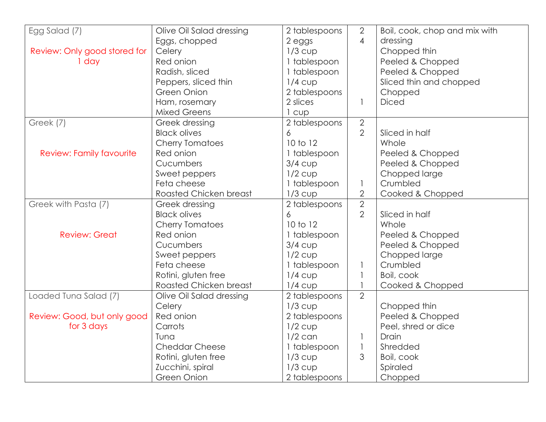| Egg Salad (7)                   | Olive Oil Salad dressing | 2 tablespoons | $\overline{2}$ | Boil, cook, chop and mix with |
|---------------------------------|--------------------------|---------------|----------------|-------------------------------|
|                                 | Eggs, chopped            | 2 eggs        | $\overline{4}$ | dressing                      |
| Review: Only good stored for    | Celery                   | $1/3$ cup     |                | Chopped thin                  |
| 1 day                           | Red onion                | 1 tablespoon  |                | Peeled & Chopped              |
|                                 | Radish, sliced           | 1 tablespoon  |                | Peeled & Chopped              |
|                                 | Peppers, sliced thin     | $1/4$ cup     |                | Sliced thin and chopped       |
|                                 | Green Onion              | 2 tablespoons |                | Chopped                       |
|                                 | Ham, rosemary            | 2 slices      | 1              | <b>Diced</b>                  |
|                                 | <b>Mixed Greens</b>      | CUD           |                |                               |
| Greek (7)                       | Greek dressing           | 2 tablespoons | $\overline{2}$ |                               |
|                                 | <b>Black olives</b>      | 6             | $\overline{2}$ | Sliced in half                |
|                                 | <b>Cherry Tomatoes</b>   | 10 to 12      |                | Whole                         |
| <b>Review: Family favourite</b> | Red onion                | 1 tablespoon  |                | Peeled & Chopped              |
|                                 | Cucumbers                | $3/4$ cup     |                | Peeled & Chopped              |
|                                 | Sweet peppers            | $1/2$ cup     |                | Chopped large                 |
|                                 | Feta cheese              | 1 tablespoon  | $\mathbf{1}$   | Crumbled                      |
|                                 | Roasted Chicken breast   | $1/3$ cup     | $\overline{2}$ | Cooked & Chopped              |
| Greek with Pasta (7)            | Greek dressing           | 2 tablespoons | $\overline{2}$ |                               |
|                                 | <b>Black olives</b>      | 6             | $\overline{2}$ | Sliced in half                |
|                                 | <b>Cherry Tomatoes</b>   | 10 to 12      |                | Whole                         |
| <b>Review: Great</b>            | Red onion                | 1 tablespoon  |                | Peeled & Chopped              |
|                                 | Cucumbers                | $3/4$ cup     |                | Peeled & Chopped              |
|                                 | Sweet peppers            | $1/2$ cup     |                | Chopped large                 |
|                                 | Feta cheese              | 1 tablespoon  |                | Crumbled                      |
|                                 | Rotini, gluten free      | $1/4$ cup     | $\mathbf{1}$   | Boil, cook                    |
|                                 | Roasted Chicken breast   | $1/4$ cup     |                | Cooked & Chopped              |
| Loaded Tuna Salad (7)           | Olive Oil Salad dressing | 2 tablespoons | $\overline{2}$ |                               |
|                                 | Celery                   | $1/3$ cup     |                | Chopped thin                  |
| Review: Good, but only good     | Red onion                | 2 tablespoons |                | Peeled & Chopped              |
| for 3 days                      | Carrots                  | $1/2$ cup     |                | Peel, shred or dice           |
|                                 | Tuna                     | $1/2$ can     |                | Drain                         |
|                                 | <b>Cheddar Cheese</b>    | 1 tablespoon  | $\mathbf{1}$   | Shredded                      |
|                                 | Rotini, gluten free      | $1/3$ cup     | 3              | Boil, cook                    |
|                                 | Zucchini, spiral         | $1/3$ cup     |                | Spiraled                      |
|                                 | <b>Green Onion</b>       | 2 tablespoons |                | Chopped                       |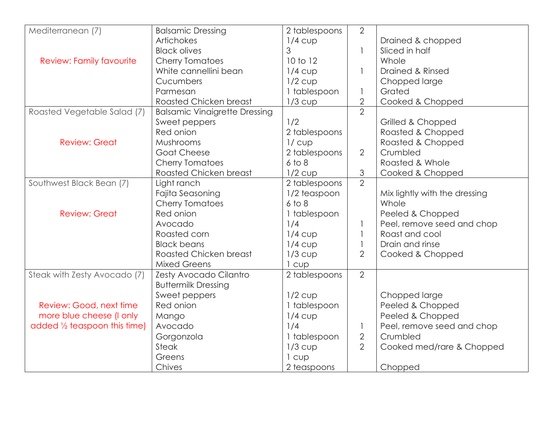| Mediterranean (7)                       | <b>Balsamic Dressing</b>             | 2 tablespoons | $\overline{2}$ |                               |
|-----------------------------------------|--------------------------------------|---------------|----------------|-------------------------------|
|                                         | <b>Artichokes</b>                    | $1/4$ cup     |                | Drained & chopped             |
|                                         | <b>Black olives</b>                  | 3             | $\mathbf{1}$   | Sliced in half                |
| <b>Review: Family favourite</b>         | <b>Cherry Tomatoes</b>               | 10 to 12      |                | Whole                         |
|                                         | White cannellini bean                | $1/4$ cup     | 1              | Drained & Rinsed              |
|                                         | Cucumbers                            | $1/2$ cup     |                | Chopped large                 |
|                                         | Parmesan                             | 1 tablespoon  | $\mathbf{1}$   | Grated                        |
|                                         | Roasted Chicken breast               | $1/3$ cup     | $\overline{2}$ | Cooked & Chopped              |
| Roasted Vegetable Salad (7)             | <b>Balsamic Vinaigrette Dressing</b> |               | $\overline{2}$ |                               |
|                                         | Sweet peppers                        | 1/2           |                | Grilled & Chopped             |
|                                         | Red onion                            | 2 tablespoons |                | Roasted & Chopped             |
| <b>Review: Great</b>                    | Mushrooms                            | $1/c$ up      |                | Roasted & Chopped             |
|                                         | <b>Goat Cheese</b>                   | 2 tablespoons | $\overline{2}$ | Crumbled                      |
|                                         | <b>Cherry Tomatoes</b>               | $6$ to $8$    |                | Roasted & Whole               |
|                                         | <b>Roasted Chicken breast</b>        | $1/2$ cup     | $\mathfrak{S}$ | Cooked & Chopped              |
| Southwest Black Bean (7)                | Light ranch                          | 2 tablespoons | $\overline{2}$ |                               |
|                                         | Fajita Seasoning                     | 1/2 teaspoon  |                | Mix lightly with the dressing |
|                                         | <b>Cherry Tomatoes</b>               | $6$ to $8$    |                | Whole                         |
| <b>Review: Great</b>                    | Red onion                            | 1 tablespoon  |                | Peeled & Chopped              |
|                                         | Avocado                              | 1/4           | $\mathbf{1}$   | Peel, remove seed and chop    |
|                                         | Roasted corn                         | $1/4$ cup     | $\mathbf{1}$   | Roast and cool                |
|                                         | <b>Black beans</b>                   | $1/4$ cup     | $\mathbf{1}$   | Drain and rinse               |
|                                         | Roasted Chicken breast               | $1/3$ cup     | $\overline{2}$ | Cooked & Chopped              |
|                                         | <b>Mixed Greens</b>                  | cup           |                |                               |
| Steak with Zesty Avocado (7)            | Zesty Avocado Cilantro               | 2 tablespoons | $\overline{2}$ |                               |
|                                         | <b>Buttermilk Dressing</b>           |               |                |                               |
|                                         | Sweet peppers                        | $1/2$ cup     |                | Chopped large                 |
| Review: Good, next time                 | Red onion                            | 1 tablespoon  |                | Peeled & Chopped              |
| more blue cheese (I only                | Mango                                | $1/4$ cup     |                | Peeled & Chopped              |
| added $\frac{1}{2}$ teaspoon this time) | Avocado                              | 1/4           | $\mathbf{1}$   | Peel, remove seed and chop    |
|                                         | Gorgonzola                           | 1 tablespoon  | $\overline{2}$ | Crumbled                      |
|                                         | <b>Steak</b>                         | $1/3$ cup     | $\overline{2}$ | Cooked med/rare & Chopped     |
|                                         | Greens                               | 1 cup         |                |                               |
|                                         | Chives                               | 2 teaspoons   |                | Chopped                       |